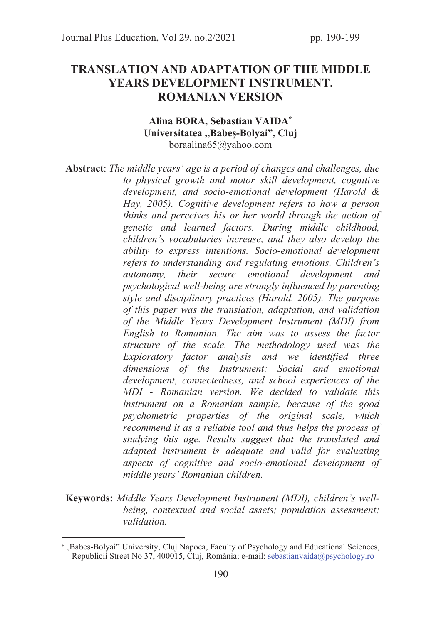# TRANSLATION AND ADAPTATION OF THE MIDDLE YEARS DEVELOPMENT INSTRUMENT. ROMANIAN VERSION

#### Alina BORA, Sebastian VAIDA\* Universitatea "Babes-Bolyai", Cluj boraalina65@yahoo.com

Abstract: The middle years' age is a period of changes and challenges, due to physical growth and motor skill development, cognitive development, and socio-emotional development (Harold & Hay, 2005). Cognitive development refers to how a person thinks and perceives his or her world through the action of genetic and learned factors. During middle childhood, children's vocabularies increase, and they also develop the ability to express intentions. Socio-emotional development refers to understanding and regulating emotions. Children's autonomy, their secure emotional development and psychological well-being are strongly influenced by parenting style and disciplinary practices (Harold, 2005). The purpose of this paper was the translation, adaptation, and validation of the Middle Years Development Instrument (MDI) from English to Romanian. The aim was to assess the factor structure of the scale. The methodology used was the Exploratory factor analysis and we identified three dimensions of the Instrument: Social and emotional development, connectedness, and school experiences of the MDI - Romanian version. We decided to validate this instrument on a Romanian sample, because of the good psychometric properties of the original scale, which recommend it as a reliable tool and thus helps the process of studying this age. Results suggest that the translated and adapted instrument is adequate and valid for evaluating aspects of cognitive and socio-emotional development of middle years' Romanian children.

Keywords: Middle Years Development Instrument (MDI), children's wellbeing, contextual and social assets; population assessment; validation.

<sup>\* &</sup>quot;Babeş-Bolyai" University, Cluj Napoca, Faculty of Psychology and Educational Sciences, Republicii Street No 37, 400015, Cluj, România; e-mail: sebastianvaida@psychology.ro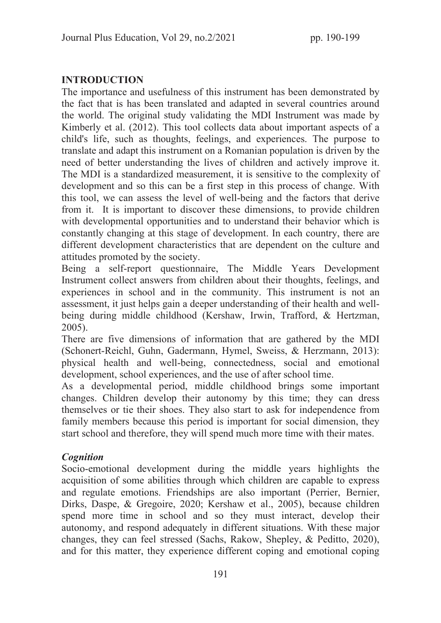# INTRODUCTION

The importance and usefulness of this instrument has been demonstrated by the fact that is has been translated and adapted in several countries around the world. The original study validating the MDI Instrument was made by Kimberly et al. (2012). This tool collects data about important aspects of a child's life, such as thoughts, feelings, and experiences. The purpose to translate and adapt this instrument on a Romanian population is driven by the need of better understanding the lives of children and actively improve it. The MDI is a standardized measurement, it is sensitive to the complexity of development and so this can be a first step in this process of change. With this tool, we can assess the level of well-being and the factors that derive from it. It is important to discover these dimensions, to provide children with developmental opportunities and to understand their behavior which is constantly changing at this stage of development. In each country, there are different development characteristics that are dependent on the culture and attitudes promoted by the society.

Being a self-report questionnaire, The Middle Years Development Instrument collect answers from children about their thoughts, feelings, and experiences in school and in the community. This instrument is not an assessment, it just helps gain a deeper understanding of their health and wellbeing during middle childhood (Kershaw, Irwin, Trafford, & Hertzman, 2005).

There are five dimensions of information that are gathered by the MDI (Schonert-Reichl, Guhn, Gadermann, Hymel, Sweiss, & Herzmann, 2013): physical health and well-being, connectedness, social and emotional development, school experiences, and the use of after school time.

As a developmental period, middle childhood brings some important changes. Children develop their autonomy by this time; they can dress themselves or tie their shoes. They also start to ask for independence from family members because this period is important for social dimension, they start school and therefore, they will spend much more time with their mates.

## **Cognition**

Socio-emotional development during the middle years highlights the acquisition of some abilities through which children are capable to express and regulate emotions. Friendships are also important (Perrier, Bernier, Dirks, Daspe, & Gregoire, 2020; Kershaw et al., 2005), because children spend more time in school and so they must interact, develop their autonomy, and respond adequately in different situations. With these major changes, they can feel stressed (Sachs, Rakow, Shepley, & Peditto, 2020), and for this matter, they experience different coping and emotional coping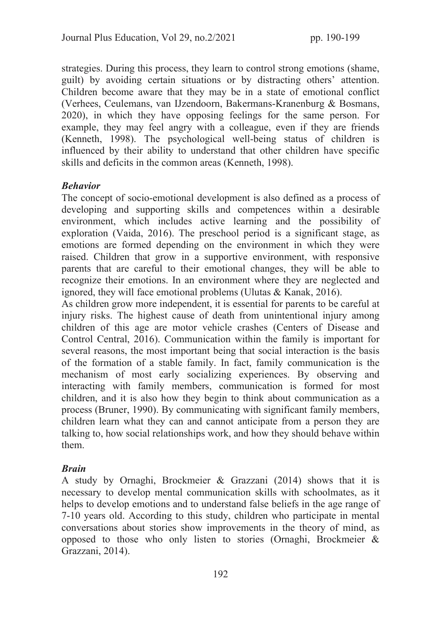strategies. During this process, they learn to control strong emotions (shame, guilt) by avoiding certain situations or by distracting others' attention. Children become aware that they may be in a state of emotional conflict (Verhees, Ceulemans, van IJzendoorn, Bakermans‐Kranenburg & Bosmans, 2020), in which they have opposing feelings for the same person. For example, they may feel angry with a colleague, even if they are friends (Kenneth, 1998). The psychological well-being status of children is influenced by their ability to understand that other children have specific skills and deficits in the common areas (Kenneth, 1998).

### Behavior

The concept of socio-emotional development is also defined as a process of developing and supporting skills and competences within a desirable environment, which includes active learning and the possibility of exploration (Vaida, 2016). The preschool period is a significant stage, as emotions are formed depending on the environment in which they were raised. Children that grow in a supportive environment, with responsive parents that are careful to their emotional changes, they will be able to recognize their emotions. In an environment where they are neglected and ignored, they will face emotional problems (Ulutas & Kanak, 2016).

As children grow more independent, it is essential for parents to be careful at injury risks. The highest cause of death from unintentional injury among children of this age are motor vehicle crashes (Centers of Disease and Control Central, 2016). Communication within the family is important for several reasons, the most important being that social interaction is the basis of the formation of a stable family. In fact, family communication is the mechanism of most early socializing experiences. By observing and interacting with family members, communication is formed for most children, and it is also how they begin to think about communication as a process (Bruner, 1990). By communicating with significant family members, children learn what they can and cannot anticipate from a person they are talking to, how social relationships work, and how they should behave within them.

### Brain

A study by Ornaghi, Brockmeier & Grazzani (2014) shows that it is necessary to develop mental communication skills with schoolmates, as it helps to develop emotions and to understand false beliefs in the age range of 7-10 years old. According to this study, children who participate in mental conversations about stories show improvements in the theory of mind, as opposed to those who only listen to stories (Ornaghi, Brockmeier & Grazzani, 2014).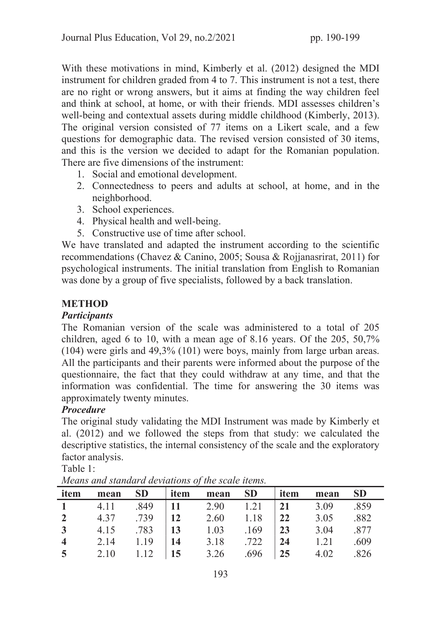With these motivations in mind, Kimberly et al. (2012) designed the MDI instrument for children graded from 4 to 7. This instrument is not a test, there are no right or wrong answers, but it aims at finding the way children feel and think at school, at home, or with their friends. MDI assesses children's well-being and contextual assets during middle childhood (Kimberly, 2013). The original version consisted of 77 items on a Likert scale, and a few questions for demographic data. The revised version consisted of 30 items, and this is the version we decided to adapt for the Romanian population. There are five dimensions of the instrument:

- 1. Social and emotional development.
- 2. Connectedness to peers and adults at school, at home, and in the neighborhood.
- 3. School experiences.
- 4. Physical health and well-being.
- 5. Constructive use of time after school.

We have translated and adapted the instrument according to the scientific recommendations (Chavez & Canino, 2005; Sousa & Rojjanasrirat, 2011) for psychological instruments. The initial translation from English to Romanian was done by a group of five specialists, followed by a back translation.

## METHOD

### **Participants**

The Romanian version of the scale was administered to a total of 205 children, aged 6 to 10, with a mean age of 8.16 years. Of the 205, 50,7% (104) were girls and 49,3% (101) were boys, mainly from large urban areas. All the participants and their parents were informed about the purpose of the questionnaire, the fact that they could withdraw at any time, and that the information was confidential. The time for answering the 30 items was approximately twenty minutes.

## Procedure

The original study validating the MDI Instrument was made by Kimberly et al. (2012) and we followed the steps from that study: we calculated the descriptive statistics, the internal consistency of the scale and the exploratory factor analysis.

Table 1:

| item                    | mean | SD   item |                                         | mean SD   item | mean | <b>SD</b> |
|-------------------------|------|-----------|-----------------------------------------|----------------|------|-----------|
|                         |      |           | 1 4.11 .849 11 2.90 1.21 21 3.09 .859   |                |      |           |
|                         |      |           | 2 4.37 .739 12 2.60 1.18 22 3.05 .882   |                |      |           |
|                         |      |           | 3 4.15 .783 13 1.03 .169 23 3.04 .877   |                |      |           |
| $\overline{\mathbf{4}}$ |      |           | 2.14 1.19   14 3.18 .722   24 1.21 .609 |                |      |           |
|                         |      |           | 5 2.10 1.12 15 3.26 .696 25 4.02 .826   |                |      |           |

Means and standard deviations of the scale items.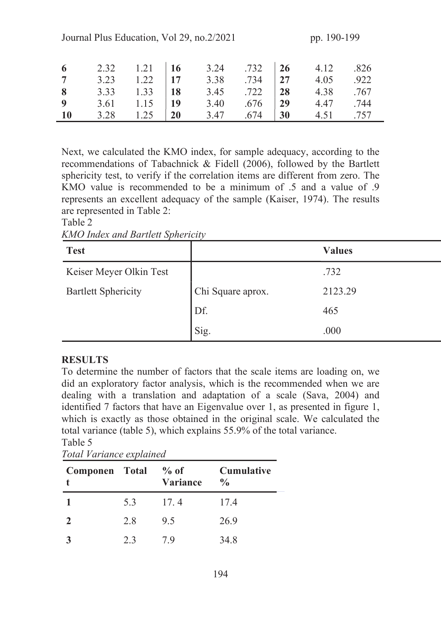| Journal Plus Education, Vol 29, no. 2/2021<br>pp. 190-199 |      |      |           |      |      |           |      |      |
|-----------------------------------------------------------|------|------|-----------|------|------|-----------|------|------|
| -6                                                        | 2.32 | 1.21 | <b>16</b> | 3.24 | .732 | <b>26</b> | 4.12 | .826 |
| $\overline{7}$                                            | 3.23 | 1.22 | 17        | 3.38 | .734 | 27        | 4.05 | .922 |
| 8                                                         | 3.33 | 1.33 | <b>18</b> | 3.45 | .722 | 28        | 4.38 | .767 |
| $\boldsymbol{9}$                                          | 3.61 | 1.15 | 19        | 3.40 | .676 | 29        | 4.47 | .744 |
| <b>10</b>                                                 | 3.28 | 1.25 | <b>20</b> | 3.47 | .674 | 30        | 4.51 | .757 |

Next, we calculated the KMO index, for sample adequacy, according to the recommendations of Tabachnick & Fidell (2006), followed by the Bartlett sphericity test, to verify if the correlation items are different from zero. The KMO value is recommended to be a minimum of .5 and a value of .9 represents an excellent adequacy of the sample (Kaiser, 1974). The results are represented in Table 2:

#### Table 2

| <b>KMO Index and Bartlett Sphericity</b> |  |
|------------------------------------------|--|
|------------------------------------------|--|

| <b>Test</b>                |                   | <b>Values</b> |
|----------------------------|-------------------|---------------|
| Keiser Meyer Olkin Test    |                   | .732          |
| <b>Bartlett Sphericity</b> | Chi Square aprox. | 2123.29       |
|                            | Df.               | 465           |
|                            | Sig.              | .000          |

#### **RESULTS**

To determine the number of factors that the scale items are loading on, we did an exploratory factor analysis, which is the recommended when we are dealing with a translation and adaptation of a scale (Sava, 2004) and identified 7 factors that have an Eigenvalue over 1, as presented in figure 1, which is exactly as those obtained in the original scale. We calculated the total variance (table 5), which explains 55.9% of the total variance. Table 5

| Componen Total % of |     | <b>Variance</b> | <b>Cumulative</b><br>$\frac{0}{0}$ |  |
|---------------------|-----|-----------------|------------------------------------|--|
|                     | 5.3 | 17.4            | 17.4                               |  |
| $\mathbf{2}$        | 2.8 | 9.5             | 26.9                               |  |
|                     | 23  | 79              | 34.8                               |  |

 $T_{\text{ref}}$  J  $U_{\text{ref}}$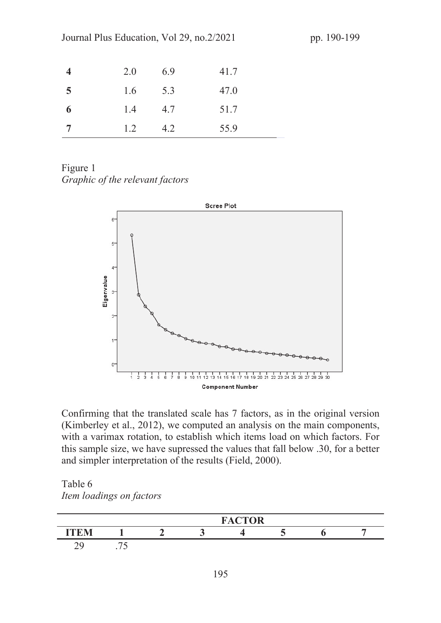| 4              | 2.0 | 6.9 | 41.7 |  |
|----------------|-----|-----|------|--|
| $\overline{5}$ | 1.6 | 5.3 | 47.0 |  |

6 1.4 4.7 51.7

7 1.2 4.2 55.9

Figure 1 Graphic of the relevant factors



Confirming that the translated scale has 7 factors, as in the original version (Kimberley et al., 2012), we computed an analysis on the main components, with a varimax rotation, to establish which items load on which factors. For this sample size, we have supressed the values that fall below .30, for a better and simpler interpretation of the results (Field, 2000).

Table 6 Item loadings on factors

|                          |                  | <b>FACTOR</b> |  |  |  |  |  |
|--------------------------|------------------|---------------|--|--|--|--|--|
| ITFM                     |                  |               |  |  |  |  |  |
| $\overline{\phantom{m}}$ | $\cdot$ / $\sim$ |               |  |  |  |  |  |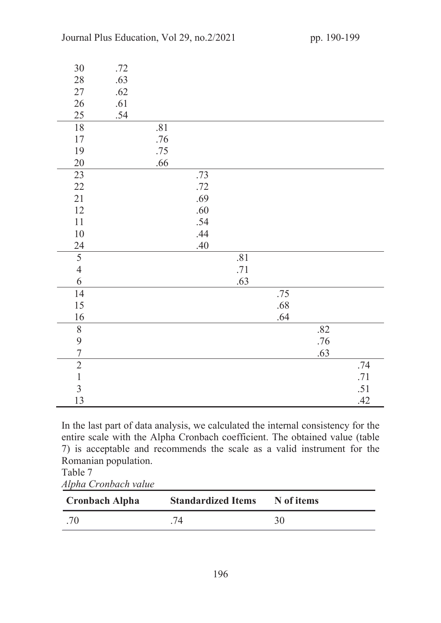| 30              | .72 |     |     |     |         |     |     |
|-----------------|-----|-----|-----|-----|---------|-----|-----|
| $28\,$          | .63 |     |     |     |         |     |     |
| $27\,$          | .62 |     |     |     |         |     |     |
| 26              | .61 |     |     |     |         |     |     |
| 25              | .54 |     |     |     |         |     |     |
| $18\,$          |     | .81 |     |     |         |     |     |
| $17\,$          |     | .76 |     |     |         |     |     |
| 19              |     | .75 |     |     |         |     |     |
| 20              |     | .66 |     |     |         |     |     |
| 23              |     |     | .73 |     |         |     |     |
| $22\,$          |     |     | .72 |     |         |     |     |
| 21              |     |     | .69 |     |         |     |     |
| 12              |     |     | .60 |     |         |     |     |
| $11\,$          |     |     | .54 |     |         |     |     |
| $10\,$          |     |     | .44 |     |         |     |     |
| 24              |     |     | .40 |     |         |     |     |
| $\overline{5}$  |     |     |     | .81 |         |     |     |
| $\overline{4}$  |     |     |     | .71 |         |     |     |
| 6               |     |     |     | .63 |         |     |     |
| $\overline{14}$ |     |     |     |     | .75     |     |     |
| 15              |     |     |     |     | $.68\,$ |     |     |
| 16              |     |     |     |     | .64     |     |     |
| $\, 8$          |     |     |     |     |         | .82 |     |
| 9               |     |     |     |     |         | .76 |     |
| $\overline{7}$  |     |     |     |     |         | .63 |     |
| $\overline{2}$  |     |     |     |     |         |     | .74 |
| $\mathbf{1}$    |     |     |     |     |         |     | .71 |
| $\overline{3}$  |     |     |     |     |         |     | .51 |
| 13              |     |     |     |     |         |     | .42 |

In the last part of data analysis, we calculated the internal consistency for the entire scale with the Alpha Cronbach coefficient. The obtained value (table 7) is acceptable and recommends the scale as a valid instrument for the Romanian population.

Table 7 Alpha Cronbach value

| <b>Cronbach Alpha</b> | <b>Standardized Items</b> | N of items |  |
|-----------------------|---------------------------|------------|--|
| .70                   |                           | 30         |  |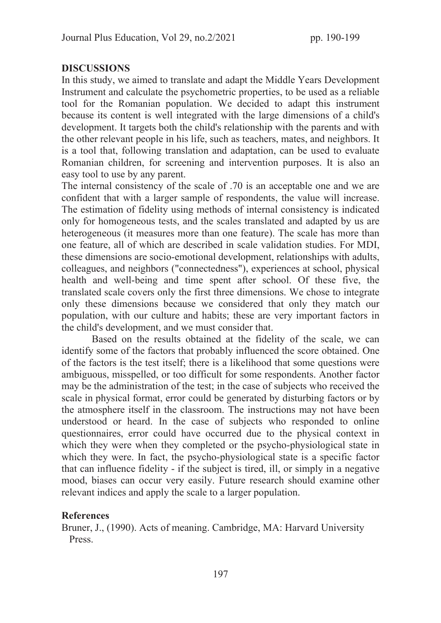#### DISCUSSIONS

In this study, we aimed to translate and adapt the Middle Years Development Instrument and calculate the psychometric properties, to be used as a reliable tool for the Romanian population. We decided to adapt this instrument because its content is well integrated with the large dimensions of a child's development. It targets both the child's relationship with the parents and with the other relevant people in his life, such as teachers, mates, and neighbors. It is a tool that, following translation and adaptation, can be used to evaluate Romanian children, for screening and intervention purposes. It is also an easy tool to use by any parent.

The internal consistency of the scale of .70 is an acceptable one and we are confident that with a larger sample of respondents, the value will increase. The estimation of fidelity using methods of internal consistency is indicated only for homogeneous tests, and the scales translated and adapted by us are heterogeneous (it measures more than one feature). The scale has more than one feature, all of which are described in scale validation studies. For MDI, these dimensions are socio-emotional development, relationships with adults, colleagues, and neighbors ("connectedness"), experiences at school, physical health and well-being and time spent after school. Of these five, the translated scale covers only the first three dimensions. We chose to integrate only these dimensions because we considered that only they match our population, with our culture and habits; these are very important factors in the child's development, and we must consider that.

Based on the results obtained at the fidelity of the scale, we can identify some of the factors that probably influenced the score obtained. One of the factors is the test itself; there is a likelihood that some questions were ambiguous, misspelled, or too difficult for some respondents. Another factor may be the administration of the test; in the case of subjects who received the scale in physical format, error could be generated by disturbing factors or by the atmosphere itself in the classroom. The instructions may not have been understood or heard. In the case of subjects who responded to online questionnaires, error could have occurred due to the physical context in which they were when they completed or the psycho-physiological state in which they were. In fact, the psycho-physiological state is a specific factor that can influence fidelity - if the subject is tired, ill, or simply in a negative mood, biases can occur very easily. Future research should examine other relevant indices and apply the scale to a larger population.

### References

Bruner, J., (1990). Acts of meaning. Cambridge, MA: Harvard University Press.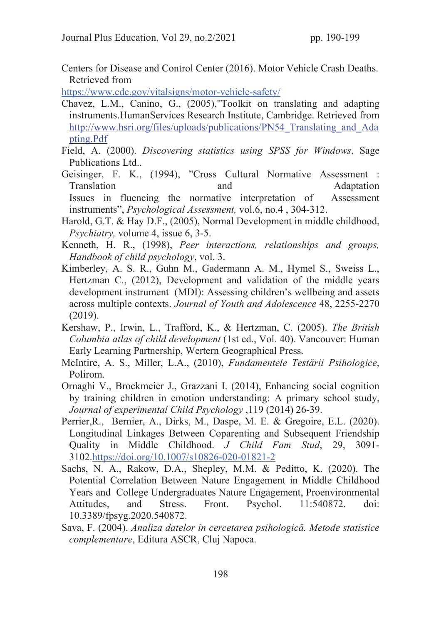Centers for Disease and Control Center (2016). Motor Vehicle Crash Deaths. Retrieved from

https://www.cdc.gov/vitalsigns/motor-vehicle-safety/

- Chavez, L.M., Canino, G., (2005),"Toolkit on translating and adapting instruments.HumanServices Research Institute, Cambridge. Retrieved from http://www.hsri.org/files/uploads/publications/PN54 Translating and Ada pting.Pdf
- Field, A. (2000). Discovering statistics using SPSS for Windows, Sage Publications Ltd..
- Geisinger, F. K., (1994), "Cross Cultural Normative Assessment : Translation and Adaptation Issues in fluencing the normative interpretation of Assessment instruments", Psychological Assessment, vol.6, no.4 , 304-312.
- Harold, G.T. & Hay D.F., (2005), Normal Development in middle childhood, Psychiatry, volume 4, issue 6, 3-5.
- Kenneth, H. R., (1998), Peer interactions, relationships and groups, Handbook of child psychology, vol. 3.
- Kimberley, A. S. R., Guhn M., Gadermann A. M., Hymel S., Sweiss L., Hertzman C., (2012), Development and validation of the middle years development instrument (MDI): Assessing children's wellbeing and assets across multiple contexts. Journal of Youth and Adolescence 48, 2255-2270 (2019).
- Kershaw, P., Irwin, L., Trafford, K., & Hertzman, C. (2005). The British Columbia atlas of child development (1st ed., Vol. 40). Vancouver: Human Early Learning Partnership, Wertern Geographical Press.
- McIntire, A. S., Miller, L.A., (2010), Fundamentele Testării Psihologice, Polirom.
- Ornaghi V., Brockmeier J., Grazzani I. (2014), Enhancing social cognition by training children in emotion understanding: A primary school study, Journal of experimental Child Psychology ,119 (2014) 26-39.
- Perrier,R., Bernier, A., Dirks, M., Daspe, M. E. & Gregoire, E.L. (2020). Longitudinal Linkages Between Coparenting and Subsequent Friendship Quality in Middle Childhood. J Child Fam Stud, 29, 3091- 3102.https://doi.org/10.1007/s10826-020-01821-2
- Sachs, N. A., Rakow, D.A., Shepley, M.M. & Peditto, K. (2020). The Potential Correlation Between Nature Engagement in Middle Childhood Years and College Undergraduates Nature Engagement, Proenvironmental Attitudes, and Stress. Front. Psychol. 11:540872. doi: 10.3389/fpsyg.2020.540872.
- Sava, F. (2004). Analiza datelor în cercetarea psihologică. Metode statistice complementare, Editura ASCR, Cluj Napoca.